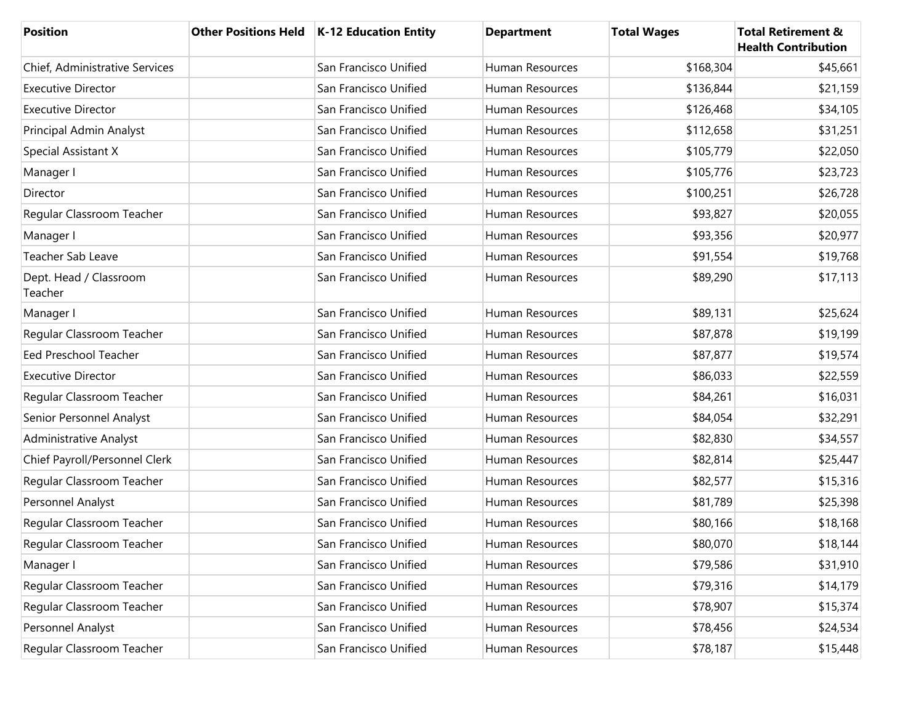| <b>Position</b>                   | Other Positions Held   K-12 Education Entity | <b>Department</b> | <b>Total Wages</b> | <b>Total Retirement &amp;</b><br><b>Health Contribution</b> |
|-----------------------------------|----------------------------------------------|-------------------|--------------------|-------------------------------------------------------------|
| Chief, Administrative Services    | San Francisco Unified                        | Human Resources   | \$168,304          | \$45,661                                                    |
| <b>Executive Director</b>         | San Francisco Unified                        | Human Resources   | \$136,844          | \$21,159                                                    |
| <b>Executive Director</b>         | San Francisco Unified                        | Human Resources   | \$126,468          | \$34,105                                                    |
| Principal Admin Analyst           | San Francisco Unified                        | Human Resources   | \$112,658          | \$31,251                                                    |
| Special Assistant X               | San Francisco Unified                        | Human Resources   | \$105,779          | \$22,050                                                    |
| Manager I                         | San Francisco Unified                        | Human Resources   | \$105,776          | \$23,723                                                    |
| Director                          | San Francisco Unified                        | Human Resources   | \$100,251          | \$26,728                                                    |
| Regular Classroom Teacher         | San Francisco Unified                        | Human Resources   | \$93,827           | \$20,055                                                    |
| Manager I                         | San Francisco Unified                        | Human Resources   | \$93,356           | \$20,977                                                    |
| <b>Teacher Sab Leave</b>          | San Francisco Unified                        | Human Resources   | \$91,554           | \$19,768                                                    |
| Dept. Head / Classroom<br>Teacher | San Francisco Unified                        | Human Resources   | \$89,290           | \$17,113                                                    |
| Manager I                         | San Francisco Unified                        | Human Resources   | \$89,131           | \$25,624                                                    |
| Regular Classroom Teacher         | San Francisco Unified                        | Human Resources   | \$87,878           | \$19,199                                                    |
| Eed Preschool Teacher             | San Francisco Unified                        | Human Resources   | \$87,877           | \$19,574                                                    |
| <b>Executive Director</b>         | San Francisco Unified                        | Human Resources   | \$86,033           | \$22,559                                                    |
| Regular Classroom Teacher         | San Francisco Unified                        | Human Resources   | \$84,261           | \$16,031                                                    |
| Senior Personnel Analyst          | San Francisco Unified                        | Human Resources   | \$84,054           | \$32,291                                                    |
| Administrative Analyst            | San Francisco Unified                        | Human Resources   | \$82,830           | \$34,557                                                    |
| Chief Payroll/Personnel Clerk     | San Francisco Unified                        | Human Resources   | \$82,814           | \$25,447                                                    |
| Regular Classroom Teacher         | San Francisco Unified                        | Human Resources   | \$82,577           | \$15,316                                                    |
| Personnel Analyst                 | San Francisco Unified                        | Human Resources   | \$81,789           | \$25,398                                                    |
| Regular Classroom Teacher         | San Francisco Unified                        | Human Resources   | \$80,166           | \$18,168                                                    |
| Regular Classroom Teacher         | San Francisco Unified                        | Human Resources   | \$80,070           | \$18,144                                                    |
| Manager I                         | San Francisco Unified                        | Human Resources   | \$79,586           | \$31,910                                                    |
| Regular Classroom Teacher         | San Francisco Unified                        | Human Resources   | \$79,316           | \$14,179                                                    |
| Regular Classroom Teacher         | San Francisco Unified                        | Human Resources   | \$78,907           | \$15,374                                                    |
| Personnel Analyst                 | San Francisco Unified                        | Human Resources   | \$78,456           | \$24,534                                                    |
| Regular Classroom Teacher         | San Francisco Unified                        | Human Resources   | \$78,187           | \$15,448                                                    |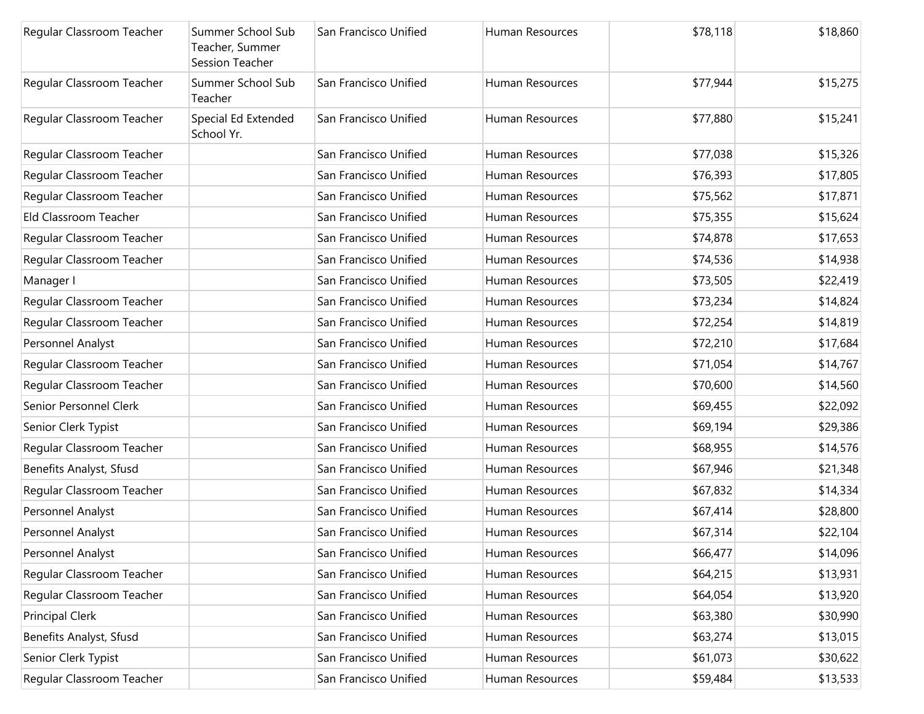| Regular Classroom Teacher | Summer School Sub<br>Teacher, Summer<br><b>Session Teacher</b> | San Francisco Unified | Human Resources        | \$78,118 | \$18,860 |
|---------------------------|----------------------------------------------------------------|-----------------------|------------------------|----------|----------|
| Regular Classroom Teacher | Summer School Sub<br>Teacher                                   | San Francisco Unified | <b>Human Resources</b> | \$77,944 | \$15,275 |
| Regular Classroom Teacher | Special Ed Extended<br>School Yr.                              | San Francisco Unified | Human Resources        | \$77,880 | \$15,241 |
| Regular Classroom Teacher |                                                                | San Francisco Unified | <b>Human Resources</b> | \$77,038 | \$15,326 |
| Regular Classroom Teacher |                                                                | San Francisco Unified | Human Resources        | \$76,393 | \$17,805 |
| Regular Classroom Teacher |                                                                | San Francisco Unified | Human Resources        | \$75,562 | \$17,871 |
| Eld Classroom Teacher     |                                                                | San Francisco Unified | Human Resources        | \$75,355 | \$15,624 |
| Regular Classroom Teacher |                                                                | San Francisco Unified | Human Resources        | \$74,878 | \$17,653 |
| Regular Classroom Teacher |                                                                | San Francisco Unified | Human Resources        | \$74,536 | \$14,938 |
| Manager I                 |                                                                | San Francisco Unified | Human Resources        | \$73,505 | \$22,419 |
| Regular Classroom Teacher |                                                                | San Francisco Unified | <b>Human Resources</b> | \$73,234 | \$14,824 |
| Regular Classroom Teacher |                                                                | San Francisco Unified | <b>Human Resources</b> | \$72,254 | \$14,819 |
| Personnel Analyst         |                                                                | San Francisco Unified | <b>Human Resources</b> | \$72,210 | \$17,684 |
| Regular Classroom Teacher |                                                                | San Francisco Unified | Human Resources        | \$71,054 | \$14,767 |
| Regular Classroom Teacher |                                                                | San Francisco Unified | Human Resources        | \$70,600 | \$14,560 |
| Senior Personnel Clerk    |                                                                | San Francisco Unified | Human Resources        | \$69,455 | \$22,092 |
| Senior Clerk Typist       |                                                                | San Francisco Unified | Human Resources        | \$69,194 | \$29,386 |
| Regular Classroom Teacher |                                                                | San Francisco Unified | Human Resources        | \$68,955 | \$14,576 |
| Benefits Analyst, Sfusd   |                                                                | San Francisco Unified | Human Resources        | \$67,946 | \$21,348 |
| Regular Classroom Teacher |                                                                | San Francisco Unified | Human Resources        | \$67,832 | \$14,334 |
| Personnel Analyst         |                                                                | San Francisco Unified | Human Resources        | \$67,414 | \$28,800 |
| Personnel Analyst         |                                                                | San Francisco Unified | Human Resources        | \$67,314 | \$22,104 |
| Personnel Analyst         |                                                                | San Francisco Unified | Human Resources        | \$66,477 | \$14,096 |
| Regular Classroom Teacher |                                                                | San Francisco Unified | Human Resources        | \$64,215 | \$13,931 |
| Regular Classroom Teacher |                                                                | San Francisco Unified | Human Resources        | \$64,054 | \$13,920 |
| <b>Principal Clerk</b>    |                                                                | San Francisco Unified | Human Resources        | \$63,380 | \$30,990 |
| Benefits Analyst, Sfusd   |                                                                | San Francisco Unified | Human Resources        | \$63,274 | \$13,015 |
| Senior Clerk Typist       |                                                                | San Francisco Unified | Human Resources        | \$61,073 | \$30,622 |
| Regular Classroom Teacher |                                                                | San Francisco Unified | Human Resources        | \$59,484 | \$13,533 |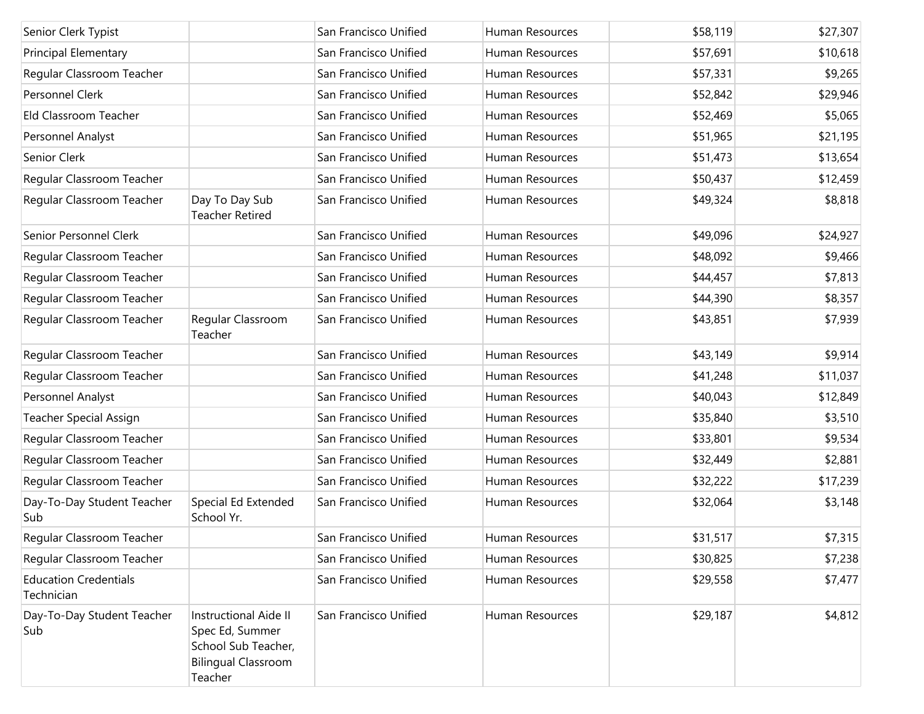| Senior Clerk Typist                        |                                                                                                                 | San Francisco Unified | Human Resources | \$58,119 | \$27,307 |
|--------------------------------------------|-----------------------------------------------------------------------------------------------------------------|-----------------------|-----------------|----------|----------|
| <b>Principal Elementary</b>                |                                                                                                                 | San Francisco Unified | Human Resources | \$57,691 | \$10,618 |
| Regular Classroom Teacher                  |                                                                                                                 | San Francisco Unified | Human Resources | \$57,331 | \$9,265  |
| Personnel Clerk                            |                                                                                                                 | San Francisco Unified | Human Resources | \$52,842 | \$29,946 |
| Eld Classroom Teacher                      |                                                                                                                 | San Francisco Unified | Human Resources | \$52,469 | \$5,065  |
| Personnel Analyst                          |                                                                                                                 | San Francisco Unified | Human Resources | \$51,965 | \$21,195 |
| Senior Clerk                               |                                                                                                                 | San Francisco Unified | Human Resources | \$51,473 | \$13,654 |
| Regular Classroom Teacher                  |                                                                                                                 | San Francisco Unified | Human Resources | \$50,437 | \$12,459 |
| Regular Classroom Teacher                  | Day To Day Sub<br><b>Teacher Retired</b>                                                                        | San Francisco Unified | Human Resources | \$49,324 | \$8,818  |
| Senior Personnel Clerk                     |                                                                                                                 | San Francisco Unified | Human Resources | \$49,096 | \$24,927 |
| Regular Classroom Teacher                  |                                                                                                                 | San Francisco Unified | Human Resources | \$48,092 | \$9,466  |
| Regular Classroom Teacher                  |                                                                                                                 | San Francisco Unified | Human Resources | \$44,457 | \$7,813  |
| Regular Classroom Teacher                  |                                                                                                                 | San Francisco Unified | Human Resources | \$44,390 | \$8,357  |
| Regular Classroom Teacher                  | Regular Classroom<br>Teacher                                                                                    | San Francisco Unified | Human Resources | \$43,851 | \$7,939  |
| Regular Classroom Teacher                  |                                                                                                                 | San Francisco Unified | Human Resources | \$43,149 | \$9,914  |
| Regular Classroom Teacher                  |                                                                                                                 | San Francisco Unified | Human Resources | \$41,248 | \$11,037 |
| Personnel Analyst                          |                                                                                                                 | San Francisco Unified | Human Resources | \$40,043 | \$12,849 |
| <b>Teacher Special Assign</b>              |                                                                                                                 | San Francisco Unified | Human Resources | \$35,840 | \$3,510  |
| Regular Classroom Teacher                  |                                                                                                                 | San Francisco Unified | Human Resources | \$33,801 | \$9,534  |
| Regular Classroom Teacher                  |                                                                                                                 | San Francisco Unified | Human Resources | \$32,449 | \$2,881  |
| Regular Classroom Teacher                  |                                                                                                                 | San Francisco Unified | Human Resources | \$32,222 | \$17,239 |
| Day-To-Day Student Teacher<br>Sub          | Special Ed Extended<br>School Yr.                                                                               | San Francisco Unified | Human Resources | \$32,064 | \$3,148  |
| Regular Classroom Teacher                  |                                                                                                                 | San Francisco Unified | Human Resources | \$31,517 | \$7,315  |
| Regular Classroom Teacher                  |                                                                                                                 | San Francisco Unified | Human Resources | \$30,825 | \$7,238  |
| <b>Education Credentials</b><br>Technician |                                                                                                                 | San Francisco Unified | Human Resources | \$29,558 | \$7,477  |
| Day-To-Day Student Teacher<br>Sub          | <b>Instructional Aide II</b><br>Spec Ed, Summer<br>School Sub Teacher,<br><b>Bilingual Classroom</b><br>Teacher | San Francisco Unified | Human Resources | \$29,187 | \$4,812  |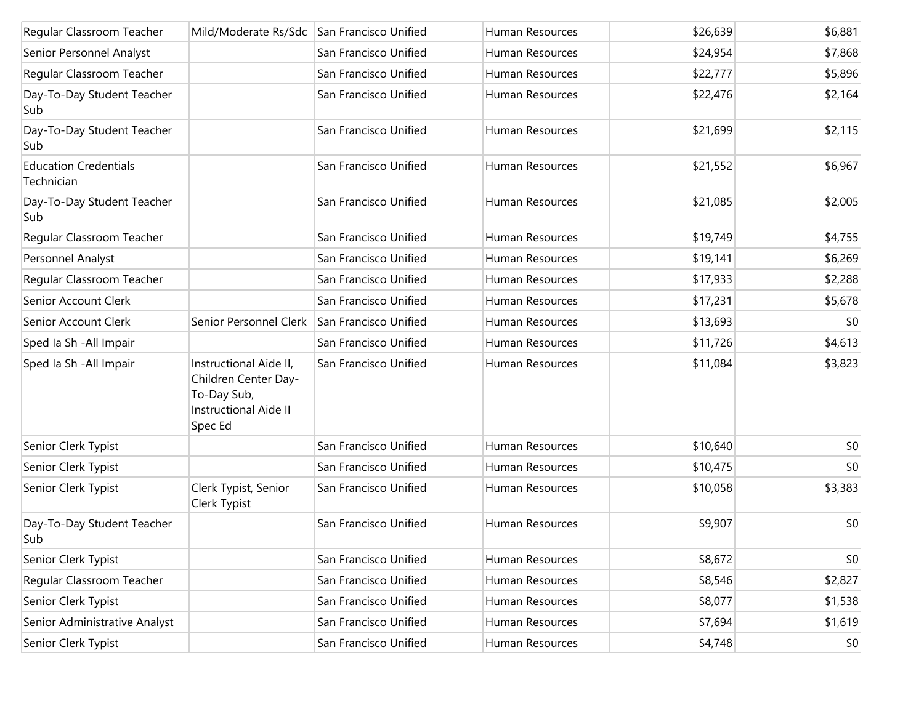| Regular Classroom Teacher                  | Mild/Moderate Rs/Sdc San Francisco Unified                                                               |                       | Human Resources | \$26,639 | \$6,881 |
|--------------------------------------------|----------------------------------------------------------------------------------------------------------|-----------------------|-----------------|----------|---------|
| Senior Personnel Analyst                   |                                                                                                          | San Francisco Unified | Human Resources | \$24,954 | \$7,868 |
| Regular Classroom Teacher                  |                                                                                                          | San Francisco Unified | Human Resources | \$22,777 | \$5,896 |
| Day-To-Day Student Teacher<br>Sub          |                                                                                                          | San Francisco Unified | Human Resources | \$22,476 | \$2,164 |
| Day-To-Day Student Teacher<br>Sub          |                                                                                                          | San Francisco Unified | Human Resources | \$21,699 | \$2,115 |
| <b>Education Credentials</b><br>Technician |                                                                                                          | San Francisco Unified | Human Resources | \$21,552 | \$6,967 |
| Day-To-Day Student Teacher<br>Sub          |                                                                                                          | San Francisco Unified | Human Resources | \$21,085 | \$2,005 |
| Regular Classroom Teacher                  |                                                                                                          | San Francisco Unified | Human Resources | \$19,749 | \$4,755 |
| Personnel Analyst                          |                                                                                                          | San Francisco Unified | Human Resources | \$19,141 | \$6,269 |
| Regular Classroom Teacher                  |                                                                                                          | San Francisco Unified | Human Resources | \$17,933 | \$2,288 |
| Senior Account Clerk                       |                                                                                                          | San Francisco Unified | Human Resources | \$17,231 | \$5,678 |
| Senior Account Clerk                       | Senior Personnel Clerk                                                                                   | San Francisco Unified | Human Resources | \$13,693 | \$0     |
| Sped Ia Sh - All Impair                    |                                                                                                          | San Francisco Unified | Human Resources | \$11,726 | \$4,613 |
| Sped Ia Sh - All Impair                    | Instructional Aide II,<br>Children Center Day-<br>To-Day Sub,<br><b>Instructional Aide II</b><br>Spec Ed | San Francisco Unified | Human Resources | \$11,084 | \$3,823 |
| Senior Clerk Typist                        |                                                                                                          | San Francisco Unified | Human Resources | \$10,640 | \$0     |
| Senior Clerk Typist                        |                                                                                                          | San Francisco Unified | Human Resources | \$10,475 | \$0     |
| Senior Clerk Typist                        | Clerk Typist, Senior<br>Clerk Typist                                                                     | San Francisco Unified | Human Resources | \$10,058 | \$3,383 |
| Day-To-Day Student Teacher<br>Sub          |                                                                                                          | San Francisco Unified | Human Resources | \$9,907  | \$0     |
| Senior Clerk Typist                        |                                                                                                          | San Francisco Unified | Human Resources | \$8,672  | \$0     |
| Regular Classroom Teacher                  |                                                                                                          | San Francisco Unified | Human Resources | \$8,546  | \$2,827 |
| Senior Clerk Typist                        |                                                                                                          | San Francisco Unified | Human Resources | \$8,077  | \$1,538 |
| Senior Administrative Analyst              |                                                                                                          | San Francisco Unified | Human Resources | \$7,694  | \$1,619 |
| Senior Clerk Typist                        |                                                                                                          | San Francisco Unified | Human Resources | \$4,748  | \$0     |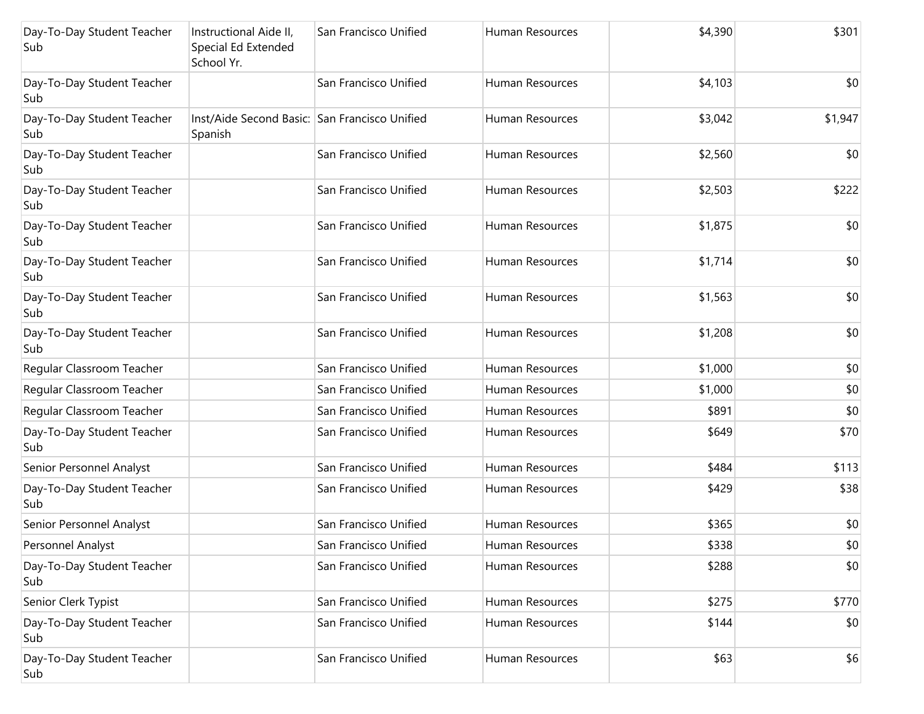| Day-To-Day Student Teacher<br>Sub | Instructional Aide II,<br>Special Ed Extended<br>School Yr. | San Francisco Unified | Human Resources        | \$4,390 | \$301   |
|-----------------------------------|-------------------------------------------------------------|-----------------------|------------------------|---------|---------|
| Day-To-Day Student Teacher<br>Sub |                                                             | San Francisco Unified | Human Resources        | \$4,103 | \$0     |
| Day-To-Day Student Teacher<br>Sub | Inst/Aide Second Basic: San Francisco Unified<br>Spanish    |                       | Human Resources        | \$3,042 | \$1,947 |
| Day-To-Day Student Teacher<br>Sub |                                                             | San Francisco Unified | Human Resources        | \$2,560 | \$0     |
| Day-To-Day Student Teacher<br>Sub |                                                             | San Francisco Unified | Human Resources        | \$2,503 | \$222   |
| Day-To-Day Student Teacher<br>Sub |                                                             | San Francisco Unified | Human Resources        | \$1,875 | \$0     |
| Day-To-Day Student Teacher<br>Sub |                                                             | San Francisco Unified | Human Resources        | \$1,714 | \$0     |
| Day-To-Day Student Teacher<br>Sub |                                                             | San Francisco Unified | Human Resources        | \$1,563 | \$0     |
| Day-To-Day Student Teacher<br>Sub |                                                             | San Francisco Unified | <b>Human Resources</b> | \$1,208 | \$0     |
| Regular Classroom Teacher         |                                                             | San Francisco Unified | Human Resources        | \$1,000 | \$0     |
| Regular Classroom Teacher         |                                                             | San Francisco Unified | Human Resources        | \$1,000 | \$0     |
| Regular Classroom Teacher         |                                                             | San Francisco Unified | Human Resources        | \$891   | \$0     |
| Day-To-Day Student Teacher<br>Sub |                                                             | San Francisco Unified | Human Resources        | \$649   | \$70    |
| Senior Personnel Analyst          |                                                             | San Francisco Unified | Human Resources        | \$484   | \$113   |
| Day-To-Day Student Teacher<br>Sub |                                                             | San Francisco Unified | Human Resources        | \$429   | \$38    |
| Senior Personnel Analyst          |                                                             | San Francisco Unified | Human Resources        | \$365   | \$0     |
| Personnel Analyst                 |                                                             | San Francisco Unified | Human Resources        | \$338   | \$0     |
| Day-To-Day Student Teacher<br>Sub |                                                             | San Francisco Unified | Human Resources        | \$288   | \$0     |
| Senior Clerk Typist               |                                                             | San Francisco Unified | Human Resources        | \$275   | \$770   |
| Day-To-Day Student Teacher<br>Sub |                                                             | San Francisco Unified | Human Resources        | \$144   | \$0     |
| Day-To-Day Student Teacher<br>Sub |                                                             | San Francisco Unified | Human Resources        | \$63    | \$6     |